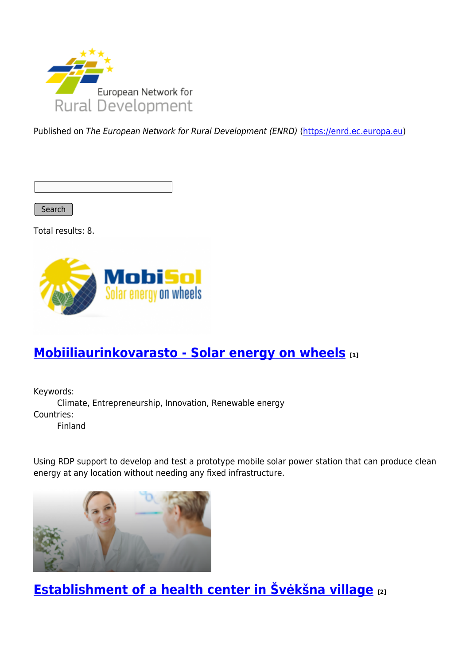

Published on The European Network for Rural Development (ENRD) [\(https://enrd.ec.europa.eu](https://enrd.ec.europa.eu))

Search

Total results: 8.



# **[Mobiiliaurinkovarasto - Solar energy on wheels](https://enrd.ec.europa.eu/projects-practice/mobiiliaurinkovarasto-solar-energy-wheels_en) [1]**

Keywords: Climate, Entrepreneurship, Innovation, Renewable energy Countries: Finland

Using RDP support to develop and test a prototype mobile solar power station that can produce clean energy at any location without needing any fixed infrastructure.



**[Establishment of a health center in Švėkšna village](https://enrd.ec.europa.eu/projects-practice/establishment-health-center-sveksna-village_en) [2]**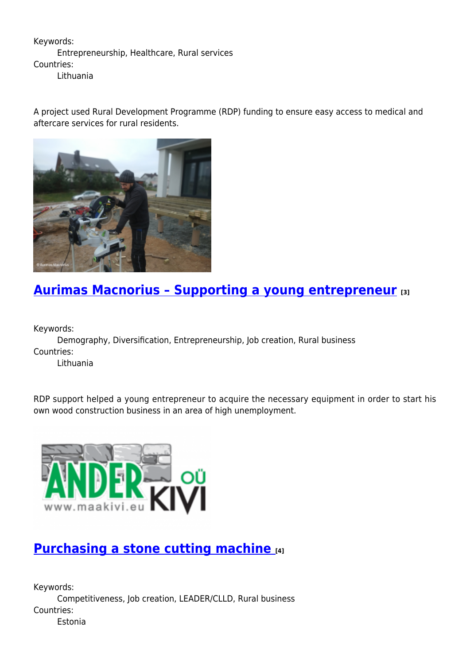#### Keywords: Entrepreneurship, Healthcare, Rural services Countries: Lithuania

A project used Rural Development Programme (RDP) funding to ensure easy access to medical and aftercare services for rural residents.



# **[Aurimas Macnorius – Supporting a young entrepreneur](https://enrd.ec.europa.eu/projects-practice/aurimas-macnorius-supporting-young-entrepreneur_en) [3]**

Keywords:

Demography, Diversification, Entrepreneurship, Job creation, Rural business Countries:

Lithuania

RDP support helped a young entrepreneur to acquire the necessary equipment in order to start his own wood construction business in an area of high unemployment.



### **[Purchasing a stone cutting machine](https://enrd.ec.europa.eu/projects-practice/purchasing-stone-cutting-machine_en) [4]**

Keywords: Competitiveness, Job creation, LEADER/CLLD, Rural business Countries: Estonia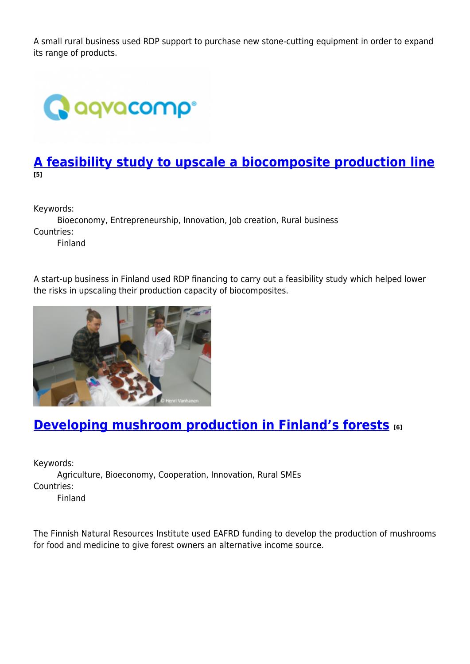A small rural business used RDP support to purchase new stone-cutting equipment in order to expand its range of products.



### **[A feasibility study to upscale a biocomposite production line](https://enrd.ec.europa.eu/projects-practice/feasibility-study-upscale-biocomposite-production-line_en) [5]**

Keywords:

Bioeconomy, Entrepreneurship, Innovation, Job creation, Rural business Countries: Finland

A start-up business in Finland used RDP financing to carry out a feasibility study which helped lower the risks in upscaling their production capacity of biocomposites.



## **[Developing mushroom production in Finland's forests](https://enrd.ec.europa.eu/projects-practice/developing-mushroom-production-finlands-forests_en) [6]**

Keywords: Agriculture, Bioeconomy, Cooperation, Innovation, Rural SMEs Countries: Finland

The Finnish Natural Resources Institute used EAFRD funding to develop the production of mushrooms for food and medicine to give forest owners an alternative income source.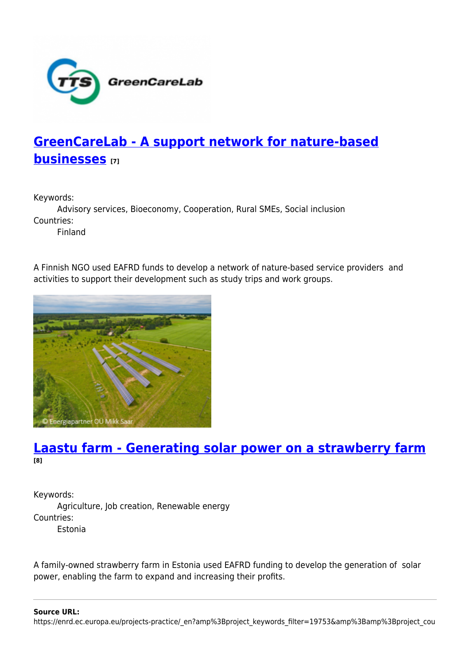

# **[GreenCareLab - A support network for nature-based](https://enrd.ec.europa.eu/projects-practice/greencarelab-support-network-nature-based-businesses_en) [businesses](https://enrd.ec.europa.eu/projects-practice/greencarelab-support-network-nature-based-businesses_en) [7]**

Keywords:

Advisory services, Bioeconomy, Cooperation, Rural SMEs, Social inclusion Countries:

Finland

A Finnish NGO used EAFRD funds to develop a network of nature-based service providers and activities to support their development such as study trips and work groups.



### **[Laastu farm - Generating solar power on a strawberry farm](https://enrd.ec.europa.eu/projects-practice/laastu-farm-generating-solar-power-strawberry-farm_en) [8]**

Keywords: Agriculture, Job creation, Renewable energy Countries: Estonia

A family-owned strawberry farm in Estonia used EAFRD funding to develop the generation of solar power, enabling the farm to expand and increasing their profits.

**Source URL:**

https://enrd.ec.europa.eu/projects-practice/\_en?amp%3Bproject\_keywords\_filter=19753&amp%3Bamp%3Bproject\_cou